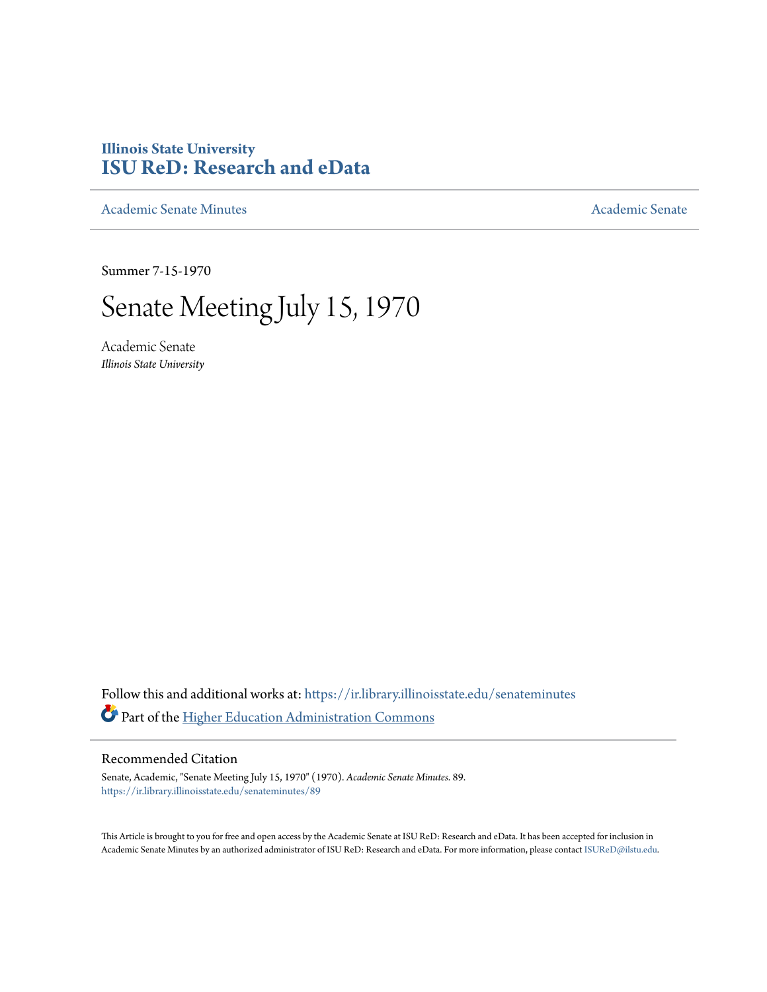# **Illinois State University [ISU ReD: Research and eData](https://ir.library.illinoisstate.edu?utm_source=ir.library.illinoisstate.edu%2Fsenateminutes%2F89&utm_medium=PDF&utm_campaign=PDFCoverPages)**

[Academic Senate Minutes](https://ir.library.illinoisstate.edu/senateminutes?utm_source=ir.library.illinoisstate.edu%2Fsenateminutes%2F89&utm_medium=PDF&utm_campaign=PDFCoverPages) [Academic Senate](https://ir.library.illinoisstate.edu/senate?utm_source=ir.library.illinoisstate.edu%2Fsenateminutes%2F89&utm_medium=PDF&utm_campaign=PDFCoverPages) Academic Senate

Summer 7-15-1970

# Senate Meeting July 15, 1970

Academic Senate *Illinois State University*

Follow this and additional works at: [https://ir.library.illinoisstate.edu/senateminutes](https://ir.library.illinoisstate.edu/senateminutes?utm_source=ir.library.illinoisstate.edu%2Fsenateminutes%2F89&utm_medium=PDF&utm_campaign=PDFCoverPages) Part of the [Higher Education Administration Commons](http://network.bepress.com/hgg/discipline/791?utm_source=ir.library.illinoisstate.edu%2Fsenateminutes%2F89&utm_medium=PDF&utm_campaign=PDFCoverPages)

# Recommended Citation

Senate, Academic, "Senate Meeting July 15, 1970" (1970). *Academic Senate Minutes*. 89. [https://ir.library.illinoisstate.edu/senateminutes/89](https://ir.library.illinoisstate.edu/senateminutes/89?utm_source=ir.library.illinoisstate.edu%2Fsenateminutes%2F89&utm_medium=PDF&utm_campaign=PDFCoverPages)

This Article is brought to you for free and open access by the Academic Senate at ISU ReD: Research and eData. It has been accepted for inclusion in Academic Senate Minutes by an authorized administrator of ISU ReD: Research and eData. For more information, please contact [ISUReD@ilstu.edu.](mailto:ISUReD@ilstu.edu)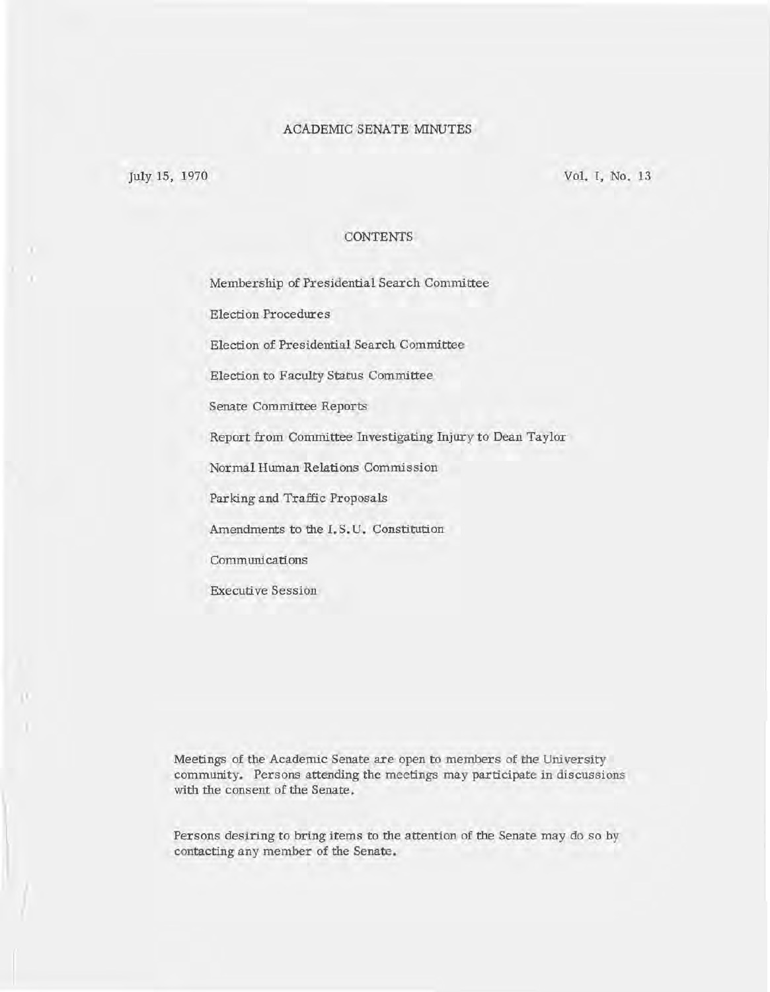# ACADEMIC SENATE MINUTES

July 15, 1970 Vol. I, No. 13

# **CONTENTS**

Membership of Presidential Search Committee

Election Procedures

Election of Presidential Search Committee

Election to Faculty Status Committee

Senate Committee Reports

Report from Committee Investigating Injury to Dean Taylor

Normal Human Relations Commission

Par king and Traffic Proposals

Amendments to the I. S. U. Constitution

Communications

Executi ve Session

Meetings of the Academic Senate are open to members of the University community. Persons attending the meetings may participate in discussions with the consent of the Senate.

Persons desiring to bring items to the attention of the Senate may do so by contacting any member of the Senate.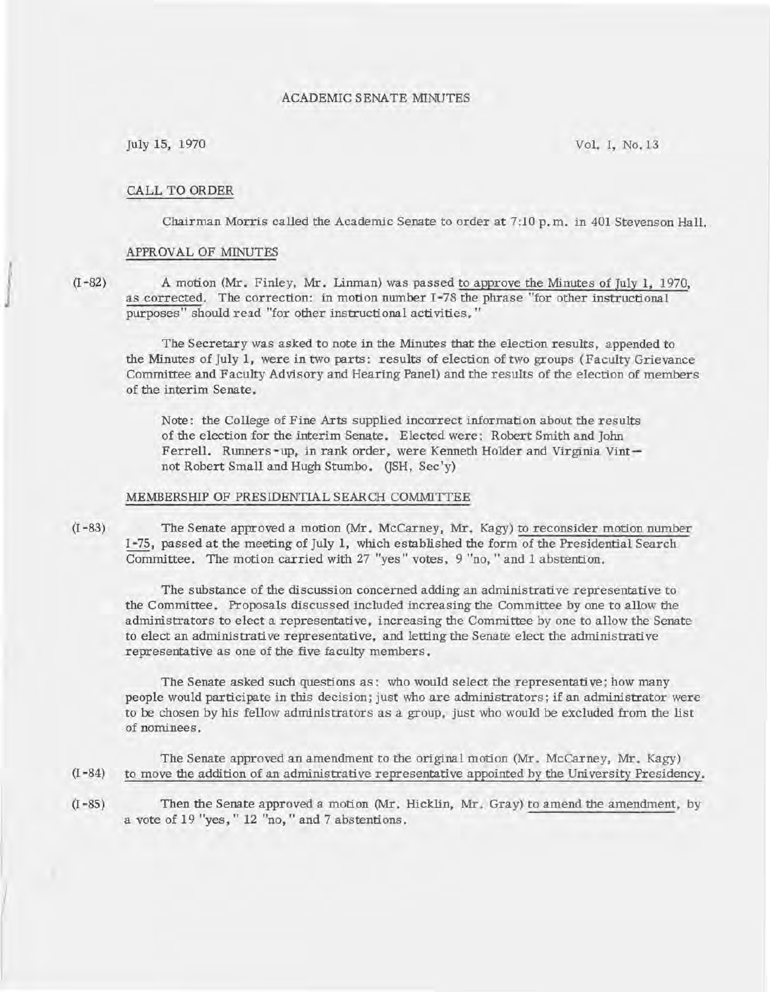# ACADEMIC SENATE MINUTES

July 15, 1970 Vol. I, No.13

### CALL TO ORDER

Chairman Morris called the Academic Senate to order at 7:10 p. m. in 401 Stevenson Hall.

# APPROVAL OF MINUTES

(I -82) A motion (Mr. Finley, Mr. Linman) was passed to approve the Minutes of July 1, 1970, as corrected. The correction: in motion number I -78 the phrase "for other instructional purposes" should read "for other instructional activities. "

The Secretary was asked to note in the Minutes that the election results, appended to the Minutes of July 1, were in two parts: results of election of two groups (Faculty Grievance Committee and Faculty Advisory and Hearing Panel) and the results of the election of members of the interim Senate.

Note: the College of Fine Arts supplied incorrect information about the results of the election for the interim Senate. Elected were: Robert Smith and John Ferrell. Runners -up, in rank order, were Kenneth Holder and Virginia Vintnot Robert Small and Hugh Stumbo. (JSH, Sec'y)

#### MEMBERSHIP OF PRESIDENTIAL SEARCH COMMITTEE

(I -83) The Senate approved a motion (Mr. McCarney, Mr. Kagy) to reconsider motion number I -75, passed at the meeting of July 1, which established the form of the Presidential Search Committee. The motion carried with 27 "yes" votes, 9 "no, "and 1 abstention.

The substance of the discussion concerned adding an administrative representative to the Committee. Proposals discussed included increasing the Committee by one to allow the administrators to elect a representative, increasing the Committee by one to allow the Senate to elect an administrative representative, and letting the Senate elect the administrative representative as one of the five faculty members.

The Senate asked such questions as: who would select the representative; how many people would participate in this decision; just who are administrators; if an administrator were to be chosen by his fellow administrators as a group, just who would be excluded from the list of nominees.

The Senate approved an amendment to the original motion (Mr. McCarney, Mr. Kagy)  $(I - 84)$  to move the addition of an administrative representative appointed by the University Presidency.

(I -85) Then the Senate approved a motion (Mr. Hicklin, Mr. Gray) to amend the amendment, by a vote of 19 "yes, " 12 "no, " and 7 abstentions.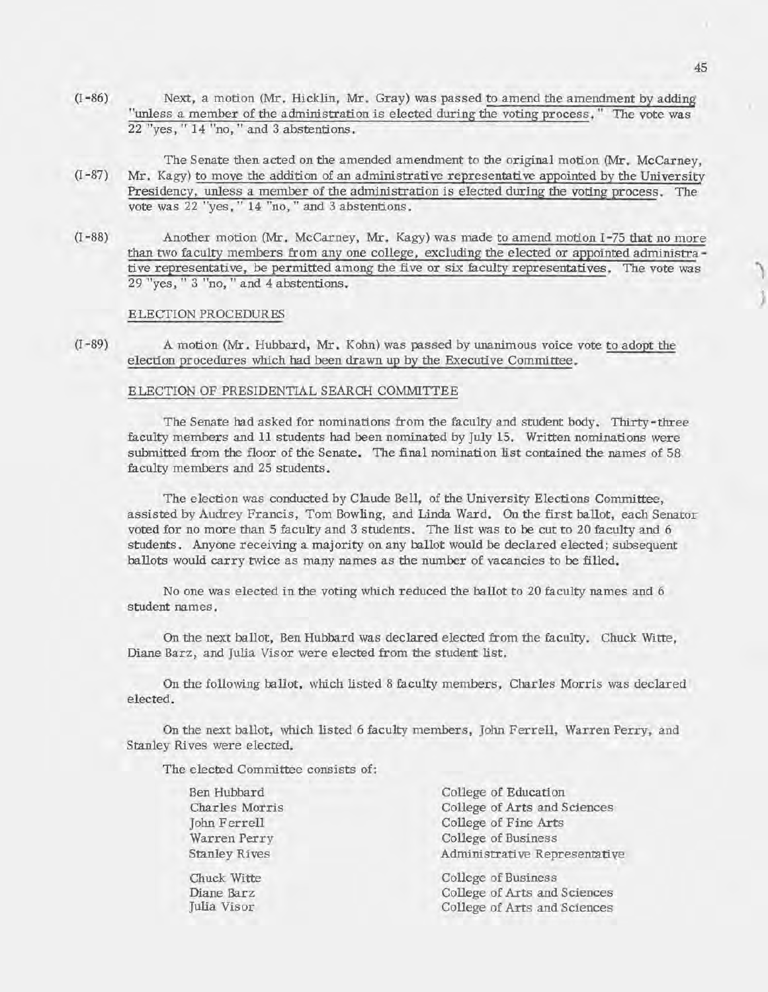- (I -86) Next, a motion (Mr. Hicklin, Mr. Gray) was passed to amend the amendment by adding "unless a member of the administration is elected during the voting process." The vote was 22 "yes, " 14 "no, " and 3 abstentions.
- The Senate then acted on the amended amendment to the original motion (Mr. McCarney,  $(I-87)$  Mr. Kagy) to move the addition of an administrative representative appointed by the University Presidency, unless a member of the administration is elected during the voting process. The vote was 22 "yes, " 14 "no, " and 3 abstentions.
- (I 88) Another motion (Mr. McCarney, Mr. Kagy) was made to amend motion I -75 that no more than two faculty members from any one college, excluding the elected or appointed administrative representative, be permitted among the five or six faculty representatives. The vote was 29 "yes, " 3 "no, " and 4 abstentions.

## ELECTION PROCEDURES

(I - 89) A motion (Mr. Hubbard, Mr. Kohn) was passed by unanimous voice vote to adopt the election procedures which had been drawn up by the Executive Committee.

# ELECTION OF PRESIDENTIAL SEARCH COMMITTEE

The Senate had asked for nominations from the faculty and student body. Thirty-three faculty members and 11 students had been nominated by July 15. Written nominations were submitted from the floor of the Senate. The final nomination list contained the names of 58 faculty members and 25 students.

The election was conducted by Claude Bell, of the University Elections Committee, assisted by Audrey Francis, Tom Bowling, and Linda Ward. On the first ballot, each Senator voted for no more than 5 faculty and 3 students. The list was to be cut to 20 faculty and 6 students. Anyone receiving a majority on any ballot would be declared elected; subsequent ballots would carry twice as many names as the number of vacancies to be filled.

No one was elected in the voting which reduced the ballot to 20 faculty names and 6 student names.

On the next ballot, Ben Hubbard was declared elected from the faculty. Chuck Witte, Diane Barz, and Julia Visor were elected from the student list.

On the following ballot, which listed 8 faculty members, Charles Morris was declared elected.

On the next ballot, which listed 6 faculty members, John Ferrell, Warren Perry, and Stanley Rives were elected.

The elected Committee consists of:

| Ben Hubbard          | College of Education          |
|----------------------|-------------------------------|
| Charles Morris       | College of Arts and Sciences  |
| John Ferrell         | College of Fine Arts          |
| Warren Perry         | College of Business           |
| <b>Stanley Rives</b> | Administrative Representative |
| Chuck Witte          | College of Business           |
| Diane Barz           | College of Arts and Sciences  |
| Julia Visor          | College of Arts and Sciences  |
|                      |                               |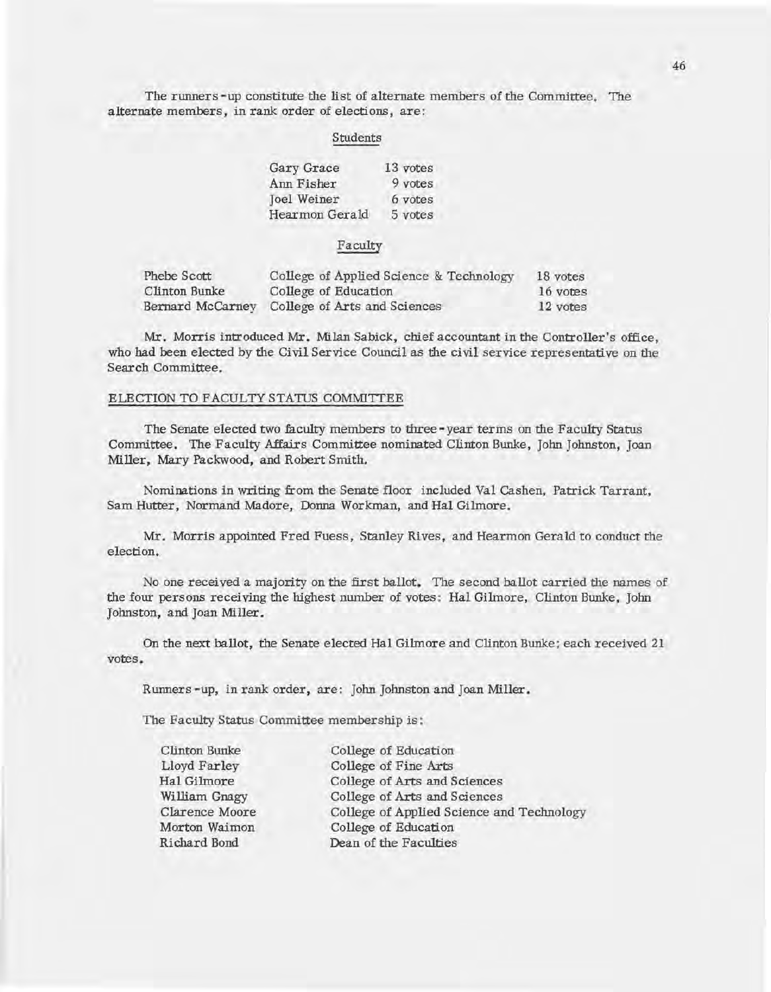The runners -up constitute the list of alternate members of the Committee. The alternate members, in rank order of elections, are:

#### Students

| Gary Grace         | 13 votes |
|--------------------|----------|
| Ann Fisher         | 9 votes  |
| <b>Joel Weiner</b> | 6 votes  |
| Hearmon Gerald     | 5 votes  |

#### Faculty

| Phebe Scott      | College of Applied Science & Technology | 18 votes |
|------------------|-----------------------------------------|----------|
| Clinton Bunke    | College of Education                    | 16 votes |
| Bernard McCarney | College of Arts and Sciences            | 12 votes |

Mr. Morris introduced Mr. Milan Sabick, chief accountant in the Controller's office, who had been elected by the Civil Service Council as the civil service representative on the Search Committee.

# ELECTION TO FACULTY STATUS COMMITTEE

The Senate elected two faculty members to three-year terms on the Faculty Status Committee. The Faculty Affairs Committee nominated Clinton Bunke, John Johnston, Joan Miller, Mary Packwood, and Robert Smith.

Nominations in writing from the Senate floor included Val Cashen, Patrick Tarrant, Sam Hutter, Normand Madore, Donna Workman, and Hal Gilmore.

Mr. Morris appointed Fred Fuess, Stanley Rives, and Hearmon Gerald to conduct the election.

No one received a majority on the first ballot. The second ballot carried the names of the four persons receiving the highest number of votes: Hal Gilmore, Clinton Bunke, John Johnston, and Joan Miller.

On the next ballot, the Senate elected Hal Gihnore and Clinton Bunke; each received 21 votes.

Runners-up, in rank order, are: John Johnston and Joan Miller.

The Faculty Status Committee membership is :

| Clinton Bunke  | College of Education                      |
|----------------|-------------------------------------------|
| Lloyd Farley   | College of Fine Arts                      |
| Hal Gilmore    | College of Arts and Sciences              |
| William Gnagy  | College of Arts and Sciences              |
| Clarence Moore | College of Applied Science and Technology |
| Morton Waimon  | College of Education                      |
| Richard Bond   | Dean of the Faculties                     |
|                |                                           |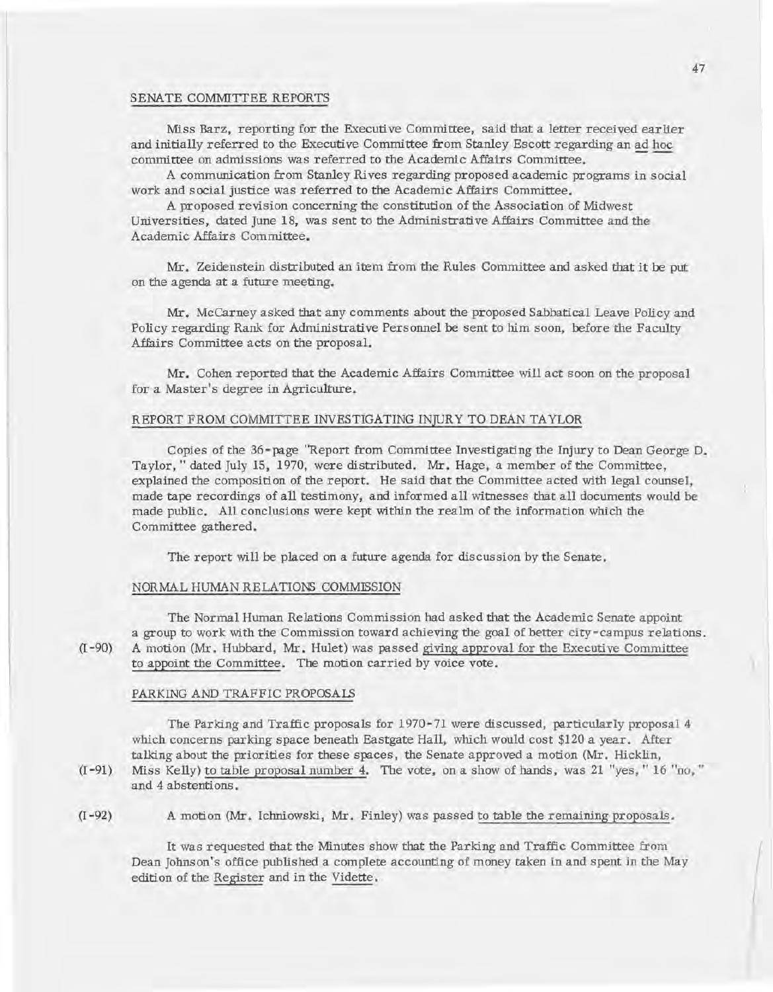#### SENATE COMMITTEE REPORTS

Miss Barz, reporting for the Executive Committee, said that a letter received earlier and initially referred to the Executive Committee from Stanley Escott regarding an ad hoc committee on admissions was referred to the Academic Affairs Committee.

A communication from Stanley Rives regarding proposed academic programs in social work and social justice was referred to the Academic Affairs Committee.

A proposed revision concerning the constitution of the Association of Midwest Universities, dated June 18, was sent to the Administrative Affairs Committee and the Academic Affairs Committee.

Mr. Zeidenstein distributed an item from the Rules Committee and asked that it be put on the agenda at a future meeting.

Mr. McCarney asked that any comments about the proposed Sabbatical Leave Policy and Policy regarding Rank for Administrative Personnel be sent to him soon, before the Faculty Affairs Committee acts on the proposal.

Mr. Cohen reported that the Academic Affairs Committee will act soon on the proposal for a Master's degree in Agriculture.

# REPORT FROM COMMITTEE INVESTIGATING INJURY TO DEAN TAYLOR

Copies of the 36-page "Report from Committee Investigating the Injury to Dean George D. Taylor, " dated July 15, 1970, were distributed. Mr. Hage, a member of the Committee, explained the composition of the report. He said that the Committee acted with legal counsel, made tape recordings of all testimony, and informed all witnesses that all documents would be made public. All conclusions were kept within the realm of the information which the Committee gathered.

The report will be placed on a future agenda for discussion by the Senate.

## NORMAL HUMAN RELATIONS COMMISSION

The Normal Human Relations Commission had asked that the Academic Senate appoint a group to work with the Commission toward achieving the goal of better city-campus relations. (I -90) A motion (Mr. Hubbard, Mr. Hulet) was passed giving approval for the Executive Committee to appoint the Committee. The motion carried by voice vote.

#### PARKING AND TRAFFIC PROPOSALS

The Parking and Traffic proposals for 1970-71 were discussed, particularly proposal 4 which concerns parking space beneath Eastgate Hall, which would cost \$120 a year. After talking about the priorities for these spaces, the Senate approved a motion (Mr. Hicklin,

(I -91) Miss Kelly) to table proposal number 4. The vote, on a show of hands, was 21 "yes, " 16 "no, " and 4 abstentions.

(I -92) A motion (Mr. Ichniowski, Mr. Finley) was passed to table the remaining proposals.

It was requested that the Minutes show that the Parking and Traffic Committee from Dean Johnson's office published a complete accounting of money taken in and spent in the May edition of the Register and in the Vidette.

 $\sqrt{2}$ 

I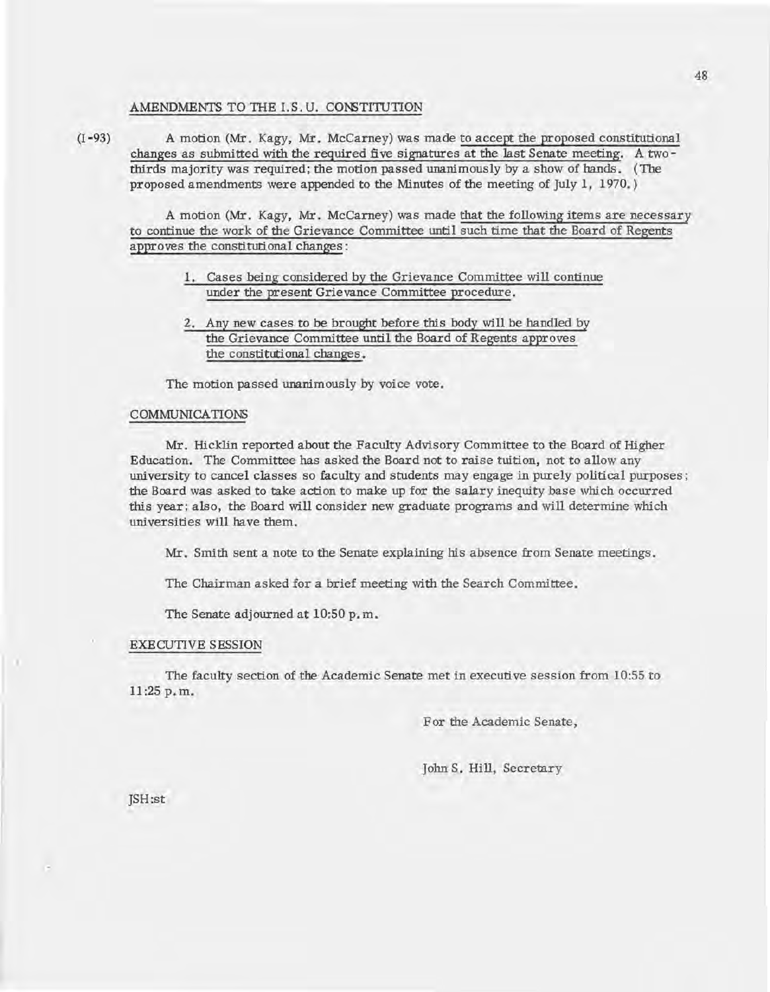#### AMENDMENTS TO THE I.S.U. CONSTITUTION

(I -93) A motion (Mr. Kagy, Mr. McCarney) was made to accept the proposed constitutional changes as submitted with the required five signatures at the last Senate meeting. A twothirds majority was required; the motion passed unanimously by a show of hands. (The proposed amendments were appended to the Minutes of the meeting of July 1, 1970.)

A motion (Mr. Kagy, Mr. McCarney) was made that the following items are necessary to continue the work of the Grievance Committee until such time that the Board of Regents approves the constitutional changes:

- 1. Cases being considered by the Grievance Committee will continue under the present Grievance Committee procedure.
- 2. Any new cases to be brought before this body will be handled by the Grievance Committee until the Board of Regents approves the constitutional changes.

The motion passed unanimously by voice vote.

#### COMMUNICATIONS

Mr. Hicklin reported about the Faculty Advisory Committee to the Board of Higher Education. The Committee has asked the Board not to raise tuition, not to allow any uni versity to cancel classes so faculty and students may engage in purely political purposes; the Board was asked to take action to make up for the salary inequity base which occurred this year; also, the Board will consider new graduate programs and will determine which universities will have them.

Mr. Smith sent a note to the Senate explaining his absence from Senate meetings.

The Chairman asked for a brief meeting with the Search Committee.

The Senate adjourned at 10:50 p. m.

#### EXECUTIVE SESSION

The faculty section of the Academic Senate met in executive session from 10:55 to 11:25 p. m.

For the Academic Senate,

John S. Hill, Secretary

JSH:st